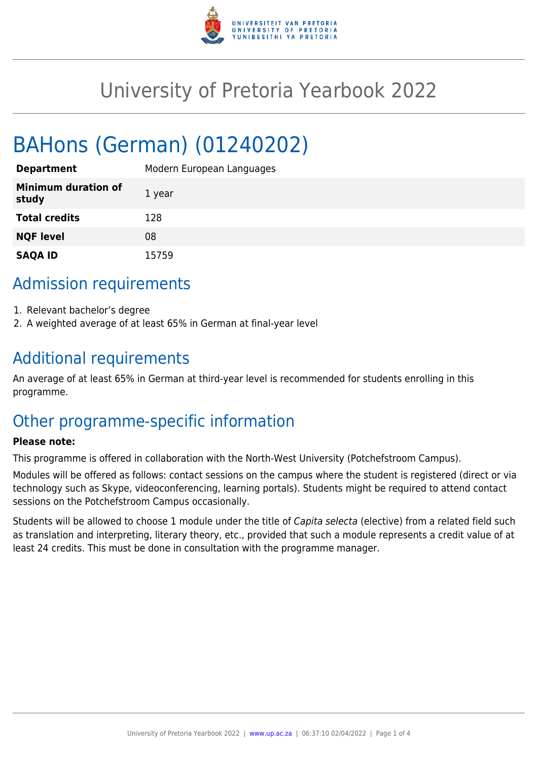

# University of Pretoria Yearbook 2022

# BAHons (German) (01240202)

| <b>Department</b>                   | Modern European Languages |
|-------------------------------------|---------------------------|
| <b>Minimum duration of</b><br>study | 1 year                    |
| <b>Total credits</b>                | 128                       |
| <b>NQF level</b>                    | 08                        |
| <b>SAQA ID</b>                      | 15759                     |

### Admission requirements

- 1. Relevant bachelor's degree
- 2. A weighted average of at least 65% in German at final-year level

### Additional requirements

An average of at least 65% in German at third-year level is recommended for students enrolling in this programme.

## Other programme-specific information

#### **Please note:**

This programme is offered in collaboration with the North-West University (Potchefstroom Campus).

Modules will be offered as follows: contact sessions on the campus where the student is registered (direct or via technology such as Skype, videoconferencing, learning portals). Students might be required to attend contact sessions on the Potchefstroom Campus occasionally.

Students will be allowed to choose 1 module under the title of Capita selecta (elective) from a related field such as translation and interpreting, literary theory, etc., provided that such a module represents a credit value of at least 24 credits. This must be done in consultation with the programme manager.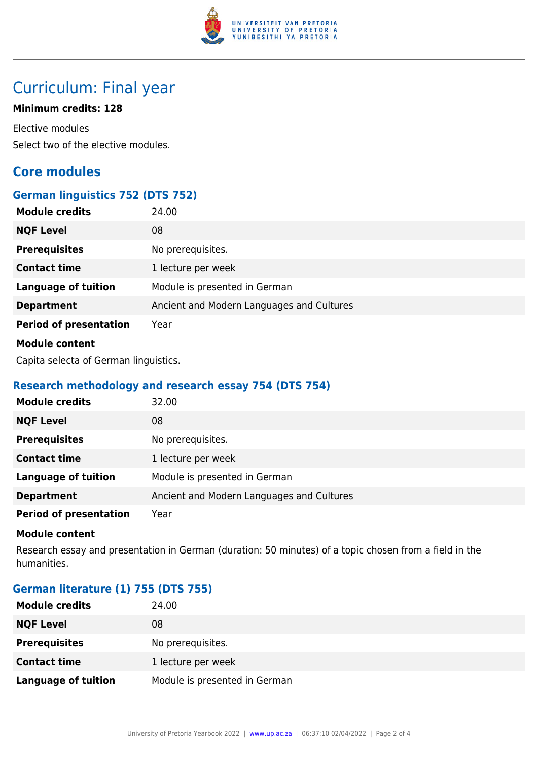

## Curriculum: Final year

#### **Minimum credits: 128**

Elective modules Select two of the elective modules.

### **Core modules**

#### **German linguistics 752 (DTS 752)**

| <b>Module credits</b>         | 24.00                                     |
|-------------------------------|-------------------------------------------|
| <b>NQF Level</b>              | 08                                        |
| <b>Prerequisites</b>          | No prerequisites.                         |
| <b>Contact time</b>           | 1 lecture per week                        |
| <b>Language of tuition</b>    | Module is presented in German             |
| <b>Department</b>             | Ancient and Modern Languages and Cultures |
| <b>Period of presentation</b> | Year                                      |
| <b>Module content</b>         |                                           |

Capita selecta of German linguistics.

#### **Research methodology and research essay 754 (DTS 754)**

| <b>Module credits</b>         | 32.00                                     |
|-------------------------------|-------------------------------------------|
| <b>NQF Level</b>              | 08                                        |
| <b>Prerequisites</b>          | No prerequisites.                         |
| <b>Contact time</b>           | 1 lecture per week                        |
| <b>Language of tuition</b>    | Module is presented in German             |
| <b>Department</b>             | Ancient and Modern Languages and Cultures |
| <b>Period of presentation</b> | Year                                      |

#### **Module content**

Research essay and presentation in German (duration: 50 minutes) of a topic chosen from a field in the humanities.

#### **German literature (1) 755 (DTS 755)**

| <b>Module credits</b>      | 24.00                         |
|----------------------------|-------------------------------|
| <b>NQF Level</b>           | 08                            |
| <b>Prerequisites</b>       | No prerequisites.             |
| <b>Contact time</b>        | 1 lecture per week            |
| <b>Language of tuition</b> | Module is presented in German |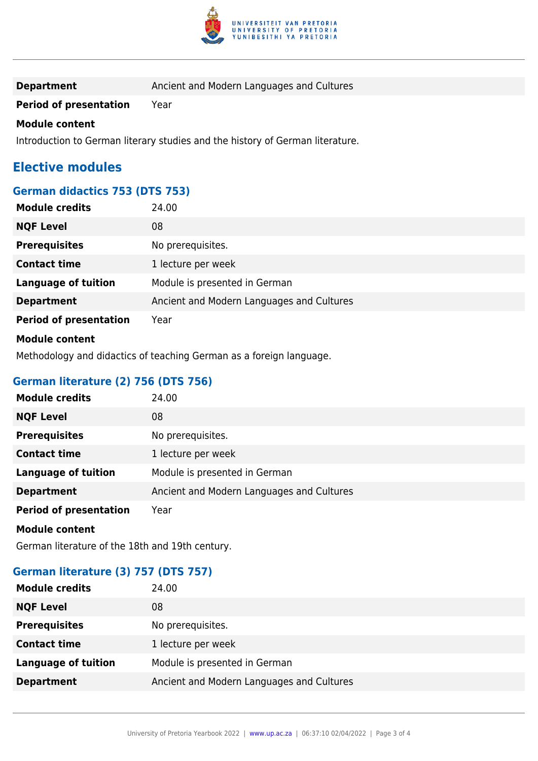

| <b>Department</b> | Ancient and Modern Languages and Cultures |
|-------------------|-------------------------------------------|
|-------------------|-------------------------------------------|

**Period of presentation** Year

#### **Module content**

Introduction to German literary studies and the history of German literature.

### **Elective modules**

#### **German didactics 753 (DTS 753)**

| <b>Module credits</b>         | 24.00                                     |
|-------------------------------|-------------------------------------------|
| <b>NQF Level</b>              | 08                                        |
| <b>Prerequisites</b>          | No prerequisites.                         |
| <b>Contact time</b>           | 1 lecture per week                        |
| <b>Language of tuition</b>    | Module is presented in German             |
| <b>Department</b>             | Ancient and Modern Languages and Cultures |
| <b>Period of presentation</b> | Year                                      |
| <b>Module content</b>         |                                           |

Methodology and didactics of teaching German as a foreign language.

#### **German literature (2) 756 (DTS 756)**

| <b>Module credits</b>         | 24.00                                     |
|-------------------------------|-------------------------------------------|
| <b>NQF Level</b>              | 08                                        |
| <b>Prerequisites</b>          | No prerequisites.                         |
| <b>Contact time</b>           | 1 lecture per week                        |
| <b>Language of tuition</b>    | Module is presented in German             |
| <b>Department</b>             | Ancient and Modern Languages and Cultures |
| <b>Period of presentation</b> | Year                                      |
| <b>Module content</b>         |                                           |

German literature of the 18th and 19th century.

#### **German literature (3) 757 (DTS 757)**

| <b>Module credits</b>      | 24.00                                     |
|----------------------------|-------------------------------------------|
| <b>NQF Level</b>           | 08                                        |
| <b>Prerequisites</b>       | No prerequisites.                         |
| <b>Contact time</b>        | 1 lecture per week                        |
| <b>Language of tuition</b> | Module is presented in German             |
| <b>Department</b>          | Ancient and Modern Languages and Cultures |